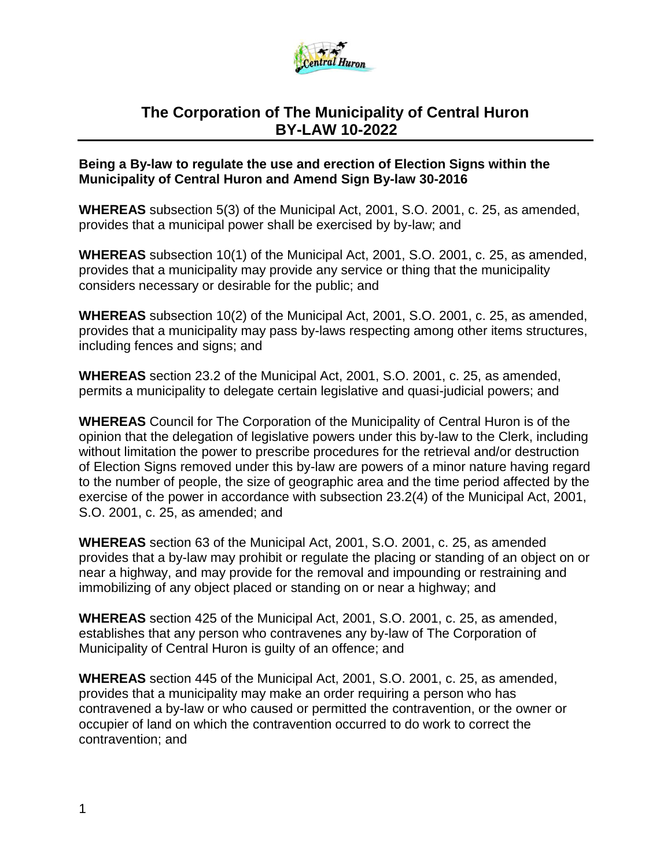

# **The Corporation of The Municipality of Central Huron BY-LAW 10-2022**

#### **Being a By-law to regulate the use and erection of Election Signs within the Municipality of Central Huron and Amend Sign By-law 30-2016**

**WHEREAS** subsection 5(3) of the Municipal Act, 2001, S.O. 2001, c. 25, as amended, provides that a municipal power shall be exercised by by-law; and

**WHEREAS** subsection 10(1) of the Municipal Act, 2001, S.O. 2001, c. 25, as amended, provides that a municipality may provide any service or thing that the municipality considers necessary or desirable for the public; and

**WHEREAS** subsection 10(2) of the Municipal Act, 2001, S.O. 2001, c. 25, as amended, provides that a municipality may pass by-laws respecting among other items structures, including fences and signs; and

**WHEREAS** section 23.2 of the Municipal Act, 2001, S.O. 2001, c. 25, as amended, permits a municipality to delegate certain legislative and quasi-judicial powers; and

**WHEREAS** Council for The Corporation of the Municipality of Central Huron is of the opinion that the delegation of legislative powers under this by-law to the Clerk, including without limitation the power to prescribe procedures for the retrieval and/or destruction of Election Signs removed under this by-law are powers of a minor nature having regard to the number of people, the size of geographic area and the time period affected by the exercise of the power in accordance with subsection 23.2(4) of the Municipal Act, 2001, S.O. 2001, c. 25, as amended; and

**WHEREAS** section 63 of the Municipal Act, 2001, S.O. 2001, c. 25, as amended provides that a by-law may prohibit or regulate the placing or standing of an object on or near a highway, and may provide for the removal and impounding or restraining and immobilizing of any object placed or standing on or near a highway; and

**WHEREAS** section 425 of the Municipal Act, 2001, S.O. 2001, c. 25, as amended, establishes that any person who contravenes any by-law of The Corporation of Municipality of Central Huron is guilty of an offence; and

**WHEREAS** section 445 of the Municipal Act, 2001, S.O. 2001, c. 25, as amended, provides that a municipality may make an order requiring a person who has contravened a by-law or who caused or permitted the contravention, or the owner or occupier of land on which the contravention occurred to do work to correct the contravention; and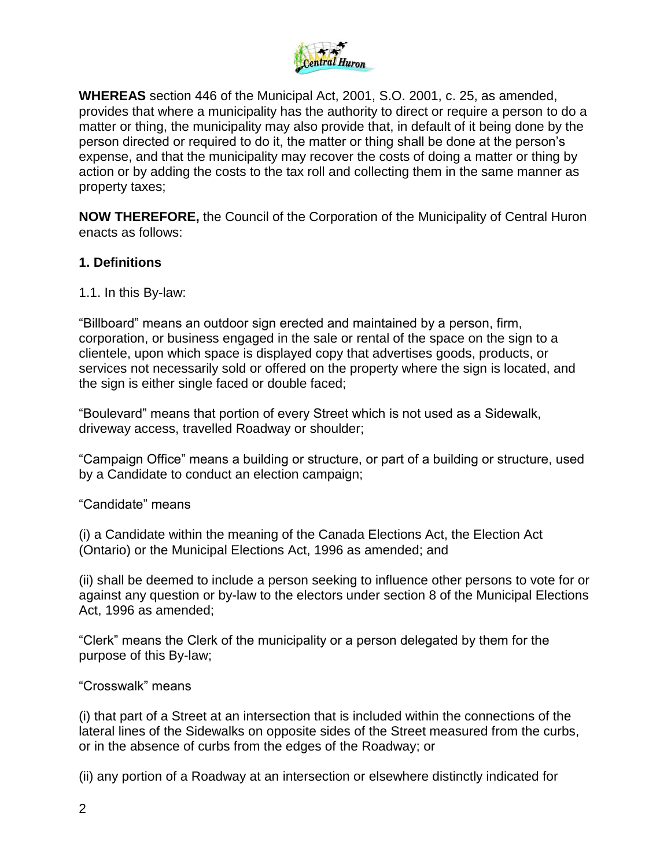

**WHEREAS** section 446 of the Municipal Act, 2001, S.O. 2001, c. 25, as amended, provides that where a municipality has the authority to direct or require a person to do a matter or thing, the municipality may also provide that, in default of it being done by the person directed or required to do it, the matter or thing shall be done at the person's expense, and that the municipality may recover the costs of doing a matter or thing by action or by adding the costs to the tax roll and collecting them in the same manner as property taxes;

**NOW THEREFORE,** the Council of the Corporation of the Municipality of Central Huron enacts as follows:

### **1. Definitions**

1.1. In this By-law:

"Billboard" means an outdoor sign erected and maintained by a person, firm, corporation, or business engaged in the sale or rental of the space on the sign to a clientele, upon which space is displayed copy that advertises goods, products, or services not necessarily sold or offered on the property where the sign is located, and the sign is either single faced or double faced;

"Boulevard" means that portion of every Street which is not used as a Sidewalk, driveway access, travelled Roadway or shoulder;

"Campaign Office" means a building or structure, or part of a building or structure, used by a Candidate to conduct an election campaign;

"Candidate" means

(i) a Candidate within the meaning of the Canada Elections Act, the Election Act (Ontario) or the Municipal Elections Act, 1996 as amended; and

(ii) shall be deemed to include a person seeking to influence other persons to vote for or against any question or by-law to the electors under section 8 of the Municipal Elections Act, 1996 as amended;

"Clerk" means the Clerk of the municipality or a person delegated by them for the purpose of this By-law;

#### "Crosswalk" means

(i) that part of a Street at an intersection that is included within the connections of the lateral lines of the Sidewalks on opposite sides of the Street measured from the curbs, or in the absence of curbs from the edges of the Roadway; or

(ii) any portion of a Roadway at an intersection or elsewhere distinctly indicated for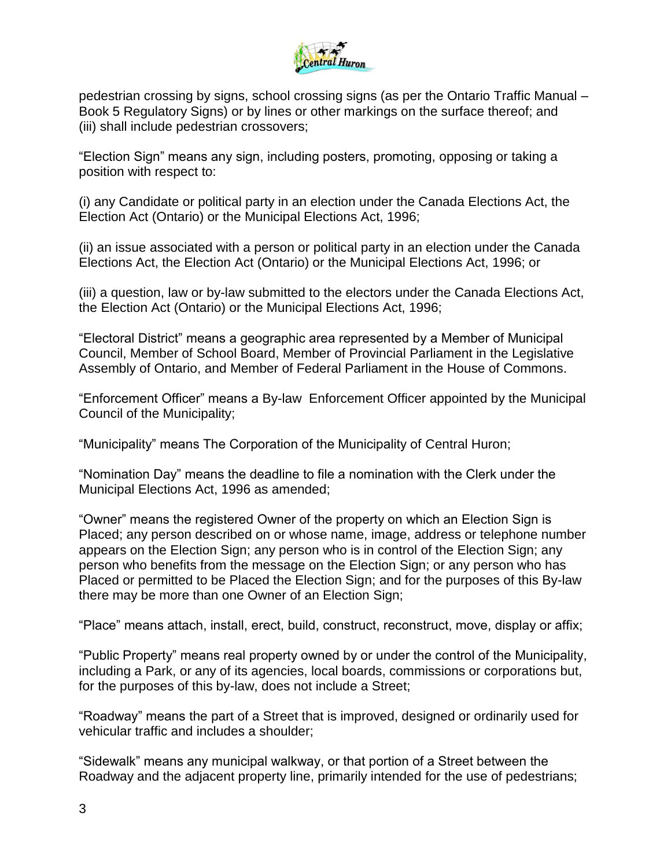

pedestrian crossing by signs, school crossing signs (as per the Ontario Traffic Manual – Book 5 Regulatory Signs) or by lines or other markings on the surface thereof; and (iii) shall include pedestrian crossovers;

"Election Sign" means any sign, including posters, promoting, opposing or taking a position with respect to:

(i) any Candidate or political party in an election under the Canada Elections Act, the Election Act (Ontario) or the Municipal Elections Act, 1996;

(ii) an issue associated with a person or political party in an election under the Canada Elections Act, the Election Act (Ontario) or the Municipal Elections Act, 1996; or

(iii) a question, law or by-law submitted to the electors under the Canada Elections Act, the Election Act (Ontario) or the Municipal Elections Act, 1996;

"Electoral District" means a geographic area represented by a Member of Municipal Council, Member of School Board, Member of Provincial Parliament in the Legislative Assembly of Ontario, and Member of Federal Parliament in the House of Commons.

"Enforcement Officer" means a By-law Enforcement Officer appointed by the Municipal Council of the Municipality;

"Municipality" means The Corporation of the Municipality of Central Huron;

"Nomination Day" means the deadline to file a nomination with the Clerk under the Municipal Elections Act, 1996 as amended;

"Owner" means the registered Owner of the property on which an Election Sign is Placed; any person described on or whose name, image, address or telephone number appears on the Election Sign; any person who is in control of the Election Sign; any person who benefits from the message on the Election Sign; or any person who has Placed or permitted to be Placed the Election Sign; and for the purposes of this By-law there may be more than one Owner of an Election Sign;

"Place" means attach, install, erect, build, construct, reconstruct, move, display or affix;

"Public Property" means real property owned by or under the control of the Municipality, including a Park, or any of its agencies, local boards, commissions or corporations but, for the purposes of this by-law, does not include a Street;

"Roadway" means the part of a Street that is improved, designed or ordinarily used for vehicular traffic and includes a shoulder;

"Sidewalk" means any municipal walkway, or that portion of a Street between the Roadway and the adjacent property line, primarily intended for the use of pedestrians;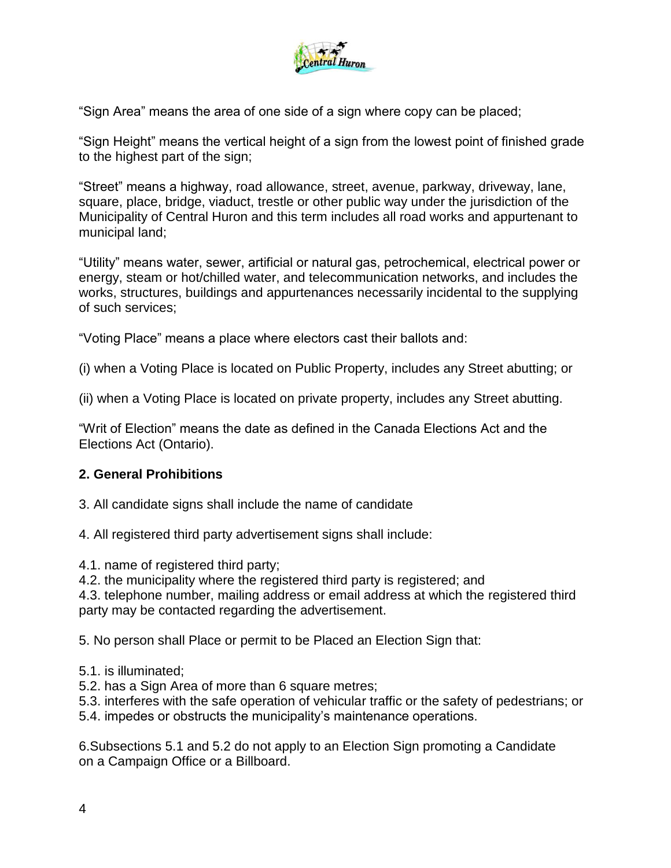

"Sign Area" means the area of one side of a sign where copy can be placed;

"Sign Height" means the vertical height of a sign from the lowest point of finished grade to the highest part of the sign;

"Street" means a highway, road allowance, street, avenue, parkway, driveway, lane, square, place, bridge, viaduct, trestle or other public way under the jurisdiction of the Municipality of Central Huron and this term includes all road works and appurtenant to municipal land;

"Utility" means water, sewer, artificial or natural gas, petrochemical, electrical power or energy, steam or hot/chilled water, and telecommunication networks, and includes the works, structures, buildings and appurtenances necessarily incidental to the supplying of such services;

"Voting Place" means a place where electors cast their ballots and:

(i) when a Voting Place is located on Public Property, includes any Street abutting; or

(ii) when a Voting Place is located on private property, includes any Street abutting.

"Writ of Election" means the date as defined in the Canada Elections Act and the Elections Act (Ontario).

#### **2. General Prohibitions**

3. All candidate signs shall include the name of candidate

4. All registered third party advertisement signs shall include:

4.1. name of registered third party;

4.2. the municipality where the registered third party is registered; and

4.3. telephone number, mailing address or email address at which the registered third party may be contacted regarding the advertisement.

5. No person shall Place or permit to be Placed an Election Sign that:

- 5.1. is illuminated;
- 5.2. has a Sign Area of more than 6 square metres;
- 5.3. interferes with the safe operation of vehicular traffic or the safety of pedestrians; or
- 5.4. impedes or obstructs the municipality's maintenance operations.

6.Subsections 5.1 and 5.2 do not apply to an Election Sign promoting a Candidate on a Campaign Office or a Billboard.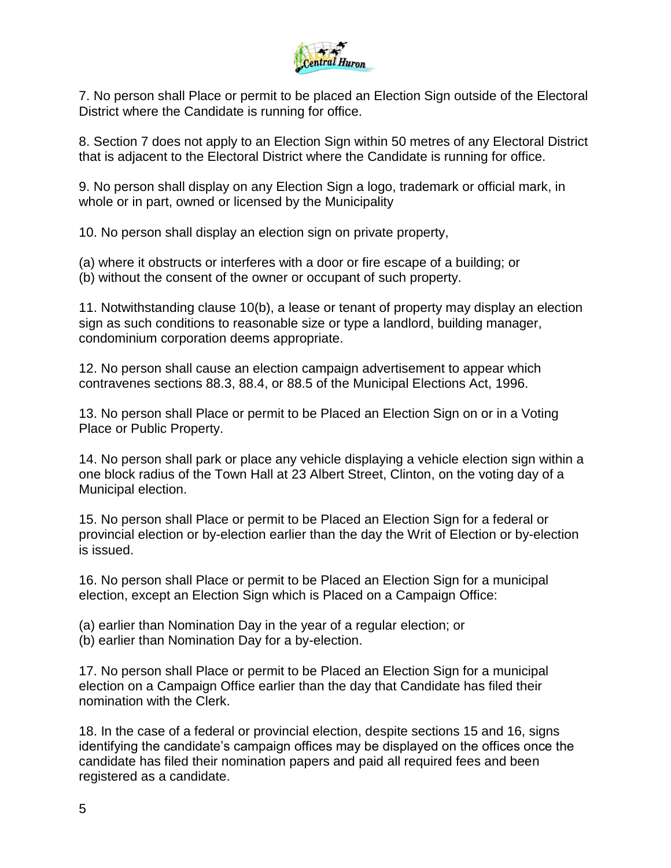

7. No person shall Place or permit to be placed an Election Sign outside of the Electoral District where the Candidate is running for office.

8. Section 7 does not apply to an Election Sign within 50 metres of any Electoral District that is adjacent to the Electoral District where the Candidate is running for office.

9. No person shall display on any Election Sign a logo, trademark or official mark, in whole or in part, owned or licensed by the Municipality

10. No person shall display an election sign on private property,

(a) where it obstructs or interferes with a door or fire escape of a building; or (b) without the consent of the owner or occupant of such property.

11. Notwithstanding clause 10(b), a lease or tenant of property may display an election sign as such conditions to reasonable size or type a landlord, building manager, condominium corporation deems appropriate.

12. No person shall cause an election campaign advertisement to appear which contravenes sections 88.3, 88.4, or 88.5 of the Municipal Elections Act, 1996.

13. No person shall Place or permit to be Placed an Election Sign on or in a Voting Place or Public Property.

14. No person shall park or place any vehicle displaying a vehicle election sign within a one block radius of the Town Hall at 23 Albert Street, Clinton, on the voting day of a Municipal election.

15. No person shall Place or permit to be Placed an Election Sign for a federal or provincial election or by-election earlier than the day the Writ of Election or by-election is issued.

16. No person shall Place or permit to be Placed an Election Sign for a municipal election, except an Election Sign which is Placed on a Campaign Office:

(a) earlier than Nomination Day in the year of a regular election; or

(b) earlier than Nomination Day for a by-election.

17. No person shall Place or permit to be Placed an Election Sign for a municipal election on a Campaign Office earlier than the day that Candidate has filed their nomination with the Clerk.

18. In the case of a federal or provincial election, despite sections 15 and 16, signs identifying the candidate's campaign offices may be displayed on the offices once the candidate has filed their nomination papers and paid all required fees and been registered as a candidate.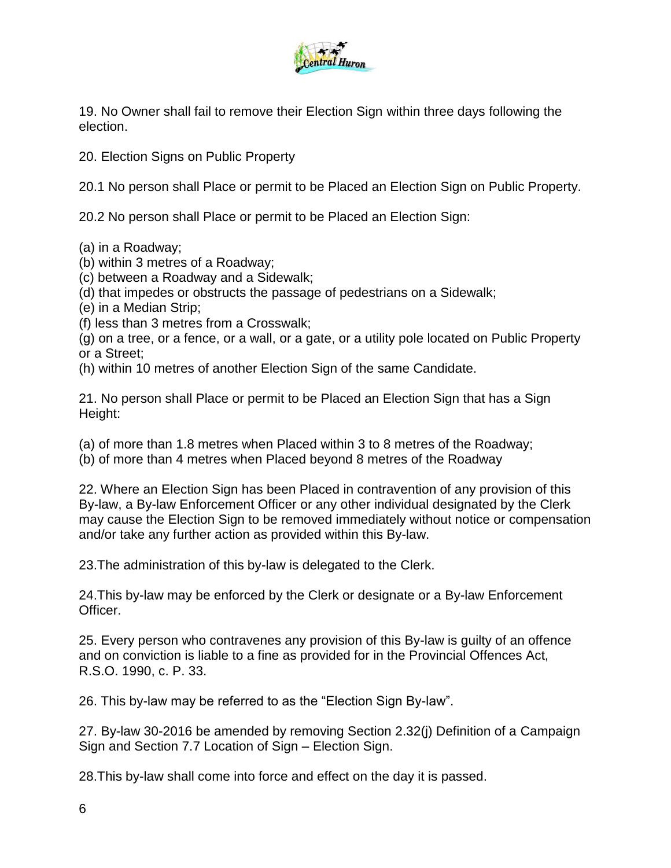

19. No Owner shall fail to remove their Election Sign within three days following the election.

20. Election Signs on Public Property

20.1 No person shall Place or permit to be Placed an Election Sign on Public Property.

20.2 No person shall Place or permit to be Placed an Election Sign:

- (a) in a Roadway;
- (b) within 3 metres of a Roadway;
- (c) between a Roadway and a Sidewalk;
- (d) that impedes or obstructs the passage of pedestrians on a Sidewalk;
- (e) in a Median Strip;
- (f) less than 3 metres from a Crosswalk;

(g) on a tree, or a fence, or a wall, or a gate, or a utility pole located on Public Property or a Street;

(h) within 10 metres of another Election Sign of the same Candidate.

21. No person shall Place or permit to be Placed an Election Sign that has a Sign Height:

- (a) of more than 1.8 metres when Placed within 3 to 8 metres of the Roadway;
- (b) of more than 4 metres when Placed beyond 8 metres of the Roadway

22. Where an Election Sign has been Placed in contravention of any provision of this By-law, a By-law Enforcement Officer or any other individual designated by the Clerk may cause the Election Sign to be removed immediately without notice or compensation and/or take any further action as provided within this By-law.

23.The administration of this by-law is delegated to the Clerk.

24.This by-law may be enforced by the Clerk or designate or a By-law Enforcement Officer.

25. Every person who contravenes any provision of this By-law is guilty of an offence and on conviction is liable to a fine as provided for in the Provincial Offences Act, R.S.O. 1990, c. P. 33.

26. This by-law may be referred to as the "Election Sign By-law".

27. By-law 30-2016 be amended by removing Section 2.32(j) Definition of a Campaign Sign and Section 7.7 Location of Sign – Election Sign.

28.This by-law shall come into force and effect on the day it is passed.